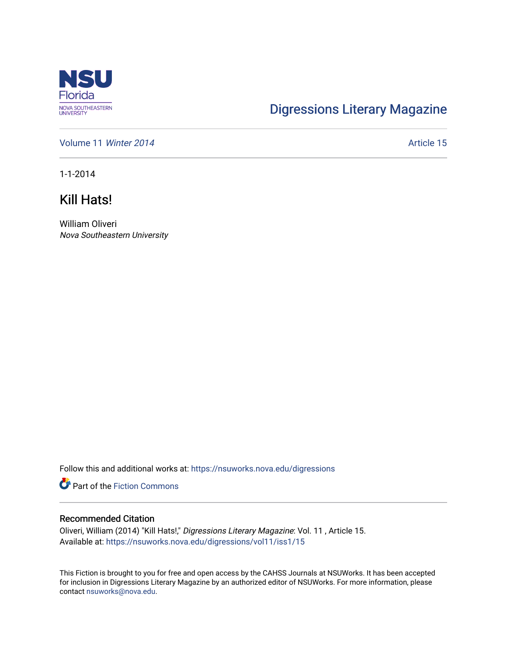

## [Digressions Literary Magazine](https://nsuworks.nova.edu/digressions)

[Volume 11](https://nsuworks.nova.edu/digressions/vol11) Winter 2014 **Article 15** Article 15

1-1-2014

Kill Hats!

William Oliveri Nova Southeastern University

Follow this and additional works at: [https://nsuworks.nova.edu/digressions](https://nsuworks.nova.edu/digressions?utm_source=nsuworks.nova.edu%2Fdigressions%2Fvol11%2Fiss1%2F15&utm_medium=PDF&utm_campaign=PDFCoverPages) 

**Part of the Fiction Commons** 

## Recommended Citation

Oliveri, William (2014) "Kill Hats!," Digressions Literary Magazine: Vol. 11 , Article 15. Available at: [https://nsuworks.nova.edu/digressions/vol11/iss1/15](https://nsuworks.nova.edu/digressions/vol11/iss1/15?utm_source=nsuworks.nova.edu%2Fdigressions%2Fvol11%2Fiss1%2F15&utm_medium=PDF&utm_campaign=PDFCoverPages)

This Fiction is brought to you for free and open access by the CAHSS Journals at NSUWorks. It has been accepted for inclusion in Digressions Literary Magazine by an authorized editor of NSUWorks. For more information, please contact [nsuworks@nova.edu.](mailto:nsuworks@nova.edu)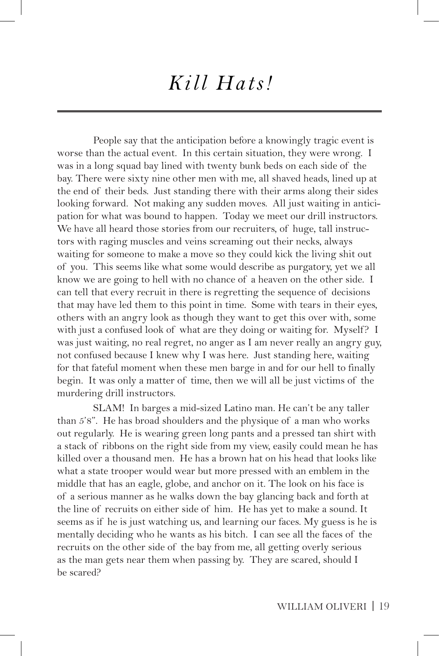## *Kill Hats!*

People say that the anticipation before a knowingly tragic event is worse than the actual event. In this certain situation, they were wrong. I was in a long squad bay lined with twenty bunk beds on each side of the bay. There were sixty nine other men with me, all shaved heads, lined up at the end of their beds. Just standing there with their arms along their sides looking forward. Not making any sudden moves. All just waiting in anticipation for what was bound to happen. Today we meet our drill instructors. We have all heard those stories from our recruiters, of huge, tall instructors with raging muscles and veins screaming out their necks, always waiting for someone to make a move so they could kick the living shit out of you. This seems like what some would describe as purgatory, yet we all know we are going to hell with no chance of a heaven on the other side. I can tell that every recruit in there is regretting the sequence of decisions that may have led them to this point in time. Some with tears in their eyes, others with an angry look as though they want to get this over with, some with just a confused look of what are they doing or waiting for. Myself? I was just waiting, no real regret, no anger as I am never really an angry guy, not confused because I knew why I was here. Just standing here, waiting for that fateful moment when these men barge in and for our hell to finally begin. It was only a matter of time, then we will all be just victims of the murdering drill instructors.

SLAM! In barges a mid-sized Latino man. He can't be any taller than 5'8". He has broad shoulders and the physique of a man who works out regularly. He is wearing green long pants and a pressed tan shirt with a stack of ribbons on the right side from my view, easily could mean he has killed over a thousand men. He has a brown hat on his head that looks like what a state trooper would wear but more pressed with an emblem in the middle that has an eagle, globe, and anchor on it. The look on his face is of a serious manner as he walks down the bay glancing back and forth at the line of recruits on either side of him. He has yet to make a sound. It seems as if he is just watching us, and learning our faces. My guess is he is mentally deciding who he wants as his bitch. I can see all the faces of the recruits on the other side of the bay from me, all getting overly serious as the man gets near them when passing by. They are scared, should I be scared?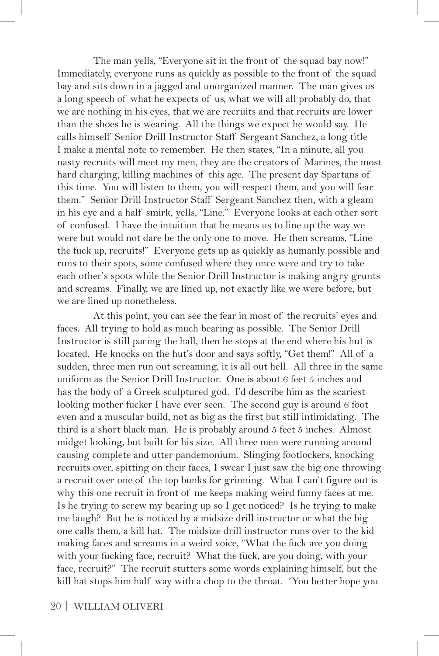The man yells, "Everyone sit in the front of the squad bay now!" Immediately, everyone runs as quickly as possible to the front of the squad bay and sits down in a jagged and unorganized manner. The man gives us a long speech of what he expects of us, what we will all probably do, that we are nothing in his eyes, that we are recruits and that recruits are lower than the shoes he is wearing. All the things we expect he would say. He calls himself Senior Drill Instructor Staff Sergeant Sanchez, a long title I make a mental note to remember. He then states, "In a minute, all you nasty recruits will meet my men, they are the creators of Marines, the most hard charging, killing machines of this age. The present day Spartans of this time. You will listen to them, you will respect them, and you will fear them." Senior Drill Instructor Staff Sergeant Sanchez then, with a gleam in his eye and a half smirk, yells, "Line." Everyone looks at each other sort of confused. I have the intuition that he means us to line up the way we were but would not dare be the only one to move. He then screams, "Line the fuck up, recruits!" Everyone gets up as quickly as humanly possible and runs to their spots, some confused where they once were and try to take each other's spots while the Senior Drill Instructor is making angry grunts and screams. Finally, we are lined up, not exactly like we were before, but we are lined up nonetheless.

At this point, you can see the fear in most of the recruits' eyes and faces. All trying to hold as much bearing as possible. The Senior Drill Instructor is still pacing the hall, then he stops at the end where his hut is located. He knocks on the hut's door and says softly, "Get them!" All of a sudden, three men run out screaming, it is all out hell. All three in the same uniform as the Senior Drill Instructor. One is about 6 feet 5 inches and has the body of a Greek sculptured god. I'd describe him as the scariest looking mother fucker I have ever seen. The second guy is around 6 foot even and a muscular build, not as big as the first but still intimidating. The third is a short black man. He is probably around 5 feet 5 inches. Almost midget looking, but built for his size. All three men were running around causing complete and utter pandemonium. Slinging footlockers, knocking recruits over, spitting on their faces, I swear I just saw the big one throwing a recruit over one of the top bunks for grinning. What I can't figure out is why this one recruit in front of me keeps making weird funny faces at me. Is he trying to screw my bearing up so I get noticed? Is he trying to make me laugh? But he is noticed by a midsize drill instructor or what the big one calls them, a kill hat. The midsize drill instructor runs over to the kid making faces and screams in a weird voice, "What the fuck are you doing with your fucking face, recruit? What the fuck, are you doing, with your face, recruit?" The recruit stutters some words explaining himself, but the kill hat stops him half way with a chop to the throat. "You better hope you